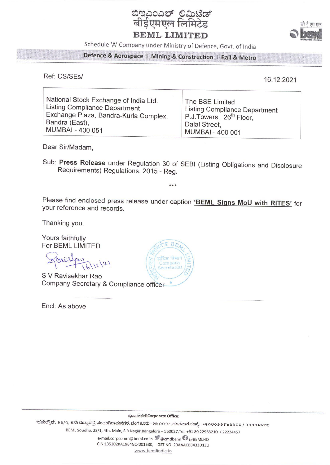

Schedule 'A' Company under Ministry of Defence, Govt. of India

## Defence & Aerospace | Mining & Construction | Rail & Metro

Ref: CS/SEs/

16.12.2021

| National Stock Exchange of India Ltd. | The BSE Limited                      |
|---------------------------------------|--------------------------------------|
| <b>Listing Compliance Department</b>  | <b>Listing Compliance Department</b> |
| Exchange Plaza, Bandra-Kurla Complex, | P.J.Towers, 26 <sup>th</sup> Floor,  |
| Bandra (East),                        | Dalal Street,                        |
| MUMBAI - 400 051                      | MUMBAI - 400 001                     |

Dear Sir/Madam,

Sub: Press Release under Regulation 30 of SEBI (Listing Obligations and Disclosure Requirements) Regulations, 2015 - Reg.

 $***$ 

Please find enclosed press release under caption 'BEML Signs MoU with RITES' for your reference and records.

Thanking you.

Yours faithfully For BEML LIMITED

avistadas

S V Ravisekhar Rao Company Secretary & Compliance officer

Encl: As above



ಪ್ರಧಾನಕಛೇರಿCorporate Office:

'ಬೆಮೆಲ್ಸೌಧ', ೨೩/೧, ೪ನೇಮುಖ್ಯರಸ್ತೆ, ಸಂಪಂಗಿರಾಮನಗರ, ಬೆಂಗಳೂರು - ೫೬೦೦೨೭.ದೂರವಾಣಿಸಂಖ್ಯೆ : +೯೧೮೦೨೨೯೬೩೨೧೦ / ೨೨೨೨೪೪೫೭

BEML Soudha, 23/1, 4th. Main, S R Nagar, Bangalore - 560027, Tel. +91 80 22963210 / 22224457

e-mail:corpcomm@beml.co.in @cmdbeml @@BEMLHQ CIN:L35202KA1964GOI001530, GST NO. 29AAACB8433D1ZU www.bemlindia.in